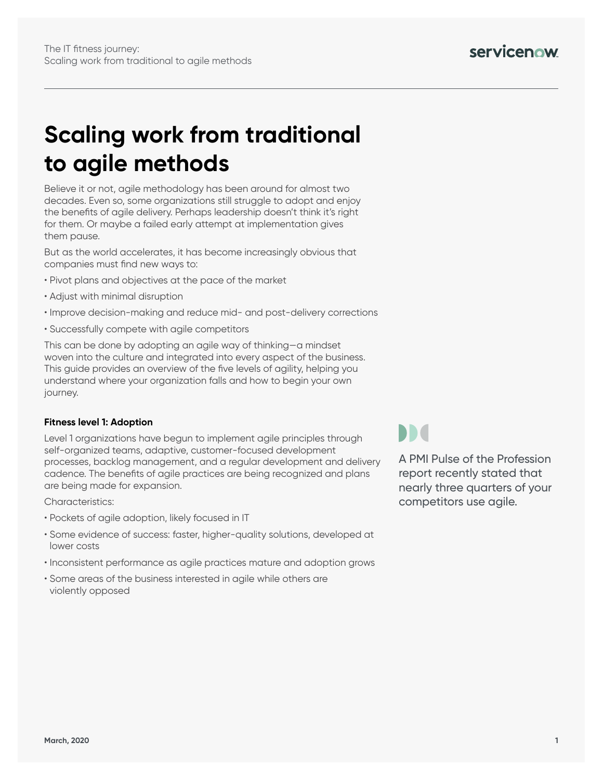# **Scaling work from traditional to agile methods**

Believe it or not, agile methodology has been around for almost two decades. Even so, some organizations still struggle to adopt and enjoy the benefits of agile delivery. Perhaps leadership doesn't think it's right for them. Or maybe a failed early attempt at implementation gives them pause.

But as the world accelerates, it has become increasingly obvious that companies must find new ways to:

- Pivot plans and objectives at the pace of the market
- Adjust with minimal disruption
- Improve decision-making and reduce mid- and post-delivery corrections
- Successfully compete with agile competitors

This can be done by adopting an agile way of thinking—a mindset woven into the culture and integrated into every aspect of the business. This guide provides an overview of the five levels of agility, helping you understand where your organization falls and how to begin your own journey.

## **Fitness level 1: Adoption**

Level 1 organizations have begun to implement agile principles through self-organized teams, adaptive, customer-focused development processes, backlog management, and a regular development and delivery cadence. The benefits of agile practices are being recognized and plans are being made for expansion.

Characteristics:

- Pockets of agile adoption, likely focused in IT
- Some evidence of success: faster, higher-quality solutions, developed at lower costs
- Inconsistent performance as agile practices mature and adoption grows
- Some areas of the business interested in agile while others are violently opposed

**DD**d

A PMI Pulse of the Profession report recently stated that nearly three quarters of your competitors use agile.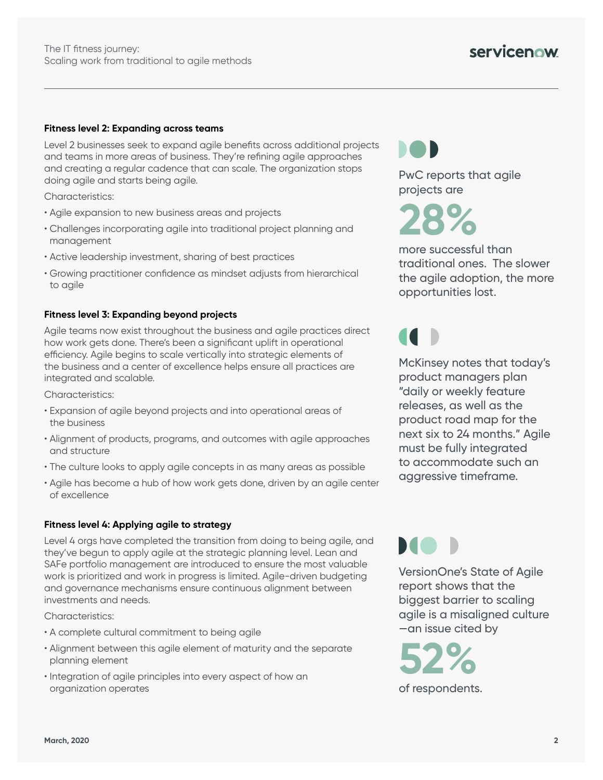## **Fitness level 2: Expanding across teams**

Level 2 businesses seek to expand agile benefits across additional projects and teams in more areas of business. They're refining agile approaches and creating a regular cadence that can scale. The organization stops doing agile and starts being agile.

Characteristics:

- Agile expansion to new business areas and projects
- Challenges incorporating agile into traditional project planning and management
- Active leadership investment, sharing of best practices
- Growing practitioner confidence as mindset adjusts from hierarchical to agile

#### **Fitness level 3: Expanding beyond projects**

Agile teams now exist throughout the business and agile practices direct how work gets done. There's been a significant uplift in operational efficiency. Agile begins to scale vertically into strategic elements of the business and a center of excellence helps ensure all practices are integrated and scalable.

Characteristics:

- Expansion of agile beyond projects and into operational areas of the business
- Alignment of products, programs, and outcomes with agile approaches and structure
- The culture looks to apply agile concepts in as many areas as possible
- Agile has become a hub of how work gets done, driven by an agile center of excellence

### **Fitness level 4: Applying agile to strategy**

Level 4 orgs have completed the transition from doing to being agile, and they've begun to apply agile at the strategic planning level. Lean and SAFe portfolio management are introduced to ensure the most valuable work is prioritized and work in progress is limited. Agile-driven budgeting and governance mechanisms ensure continuous alignment between investments and needs.

Characteristics:

- A complete cultural commitment to being agile
- Alignment between this agile element of maturity and the separate planning element
- Integration of agile principles into every aspect of how an organization operates

PwC reports that agile projects are

**28%** 

more successful than traditional ones. The slower the agile adoption, the more opportunities lost.

McKinsey notes that today's product managers plan "daily or weekly feature releases, as well as the product road map for the next six to 24 months." Agile must be fully integrated to accommodate such an aggressive timeframe.

MO I

VersionOne's State of Agile report shows that the biggest barrier to scaling agile is a misaligned culture —an issue cited by

**52%**  of respondents.